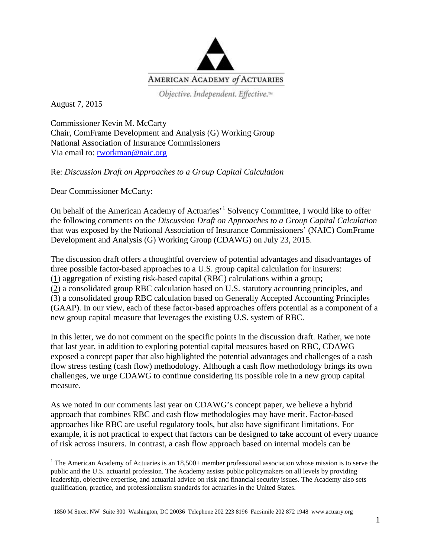

Objective. Independent. Effective.™

August 7, 2015

Commissioner Kevin M. McCarty Chair, ComFrame Development and Analysis (G) Working Group National Association of Insurance Commissioners Via email to: [rworkman@naic.org](mailto:rworkman@naic.org)

Re: *Discussion Draft on Approaches to a Group Capital Calculation*

Dear Commissioner McCarty:

On behalf of the American Academy of Actuaries<sup>[1](#page-0-0)</sup> Solvency Committee, I would like to offer the following comments on the *Discussion Draft on Approaches to a Group Capital Calculation* that was exposed by the National Association of Insurance Commissioners' (NAIC) ComFrame Development and Analysis (G) Working Group (CDAWG) on July 23, 2015.

The discussion draft offers a thoughtful overview of potential advantages and disadvantages of three possible factor-based approaches to a U.S. group capital calculation for insurers: (1) aggregation of existing risk-based capital (RBC) calculations within a group; (2) a consolidated group RBC calculation based on U.S. statutory accounting principles, and (3) a consolidated group RBC calculation based on Generally Accepted Accounting Principles (GAAP). In our view, each of these factor-based approaches offers potential as a component of a new group capital measure that leverages the existing U.S. system of RBC.

In this letter, we do not comment on the specific points in the discussion draft. Rather, we note that last year, in addition to exploring potential capital measures based on RBC, CDAWG exposed a concept paper that also highlighted the potential advantages and challenges of a cash flow stress testing (cash flow) methodology. Although a cash flow methodology brings its own challenges, we urge CDAWG to continue considering its possible role in a new group capital measure.

As we noted in our comments last year on CDAWG's concept paper, we believe a hybrid approach that combines RBC and cash flow methodologies may have merit. Factor-based approaches like RBC are useful regulatory tools, but also have significant limitations. For example, it is not practical to expect that factors can be designed to take account of every nuance of risk across insurers. In contrast, a cash flow approach based on internal models can be

<span id="page-0-0"></span><sup>&</sup>lt;sup>1</sup> The American Academy of Actuaries is an  $18,500+$  member professional association whose mission is to serve the public and the U.S. actuarial profession. The Academy assists public policymakers on all levels by providing leadership, objective expertise, and actuarial advice on risk and financial security issues. The Academy also sets qualification, practice, and professionalism standards for actuaries in the United States.